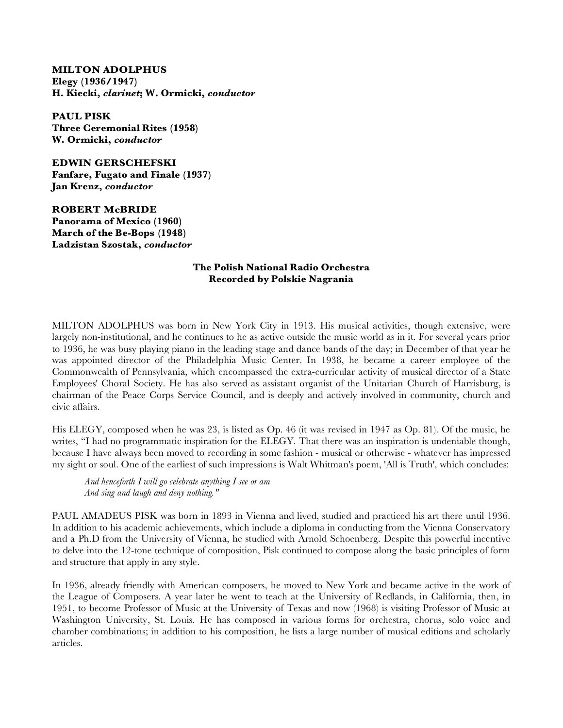## **MILTON ADOLPHUS Elegy (1936/1947) H. Kiecki,** *clarinet***; W. Ormicki,** *conductor*

**PAUL PISK Three Ceremonial Rites (1958) W. Ormicki,** *conductor*

**EDWIN GERSCHEFSKI Fanfare, Fugato and Finale (1937) Jan Krenz,** *conductor*

**ROBERT McBRIDE Panorama of Mexico (1960) March of the Be-Bops (1948) Ladzistan Szostak,** *conductor*

## **The Polish National Radio Orchestra Recorded by Polskie Nagrania**

MILTON ADOLPHUS was born in New York City in 1913. His musical activities, though extensive, were largely non-institutional, and he continues to he as active outside the music world as in it. For several years prior to 1936, he was busy playing piano in the leading stage and dance bands of the day; in December of that year he was appointed director of the Philadelphia Music Center. In 1938, he became a career employee of the Commonwealth of Pennsylvania, which encompassed the extra-curricular activity of musical director of a State Employees' Choral Society. He has also served as assistant organist of the Unitarian Church of Harrisburg, is chairman of the Peace Corps Service Council, and is deeply and actively involved in community, church and civic affairs.

His ELEGY, composed when he was 23, is listed as Op. 46 (it was revised in 1947 as Op. 81). Of the music, he writes, "I had no programmatic inspiration for the ELEGY. That there was an inspiration is undeniable though, because I have always been moved to recording in some fashion - musical or otherwise - whatever has impressed my sight or soul. One of the earliest of such impressions is Walt Whitman's poem, 'All is Truth', which concludes:

 *And henceforth I will go celebrate anything I see or am And sing and laugh and deny nothing."*

PAUL AMADEUS PISK was born in 1893 in Vienna and lived, studied and practiced his art there until 1936. In addition to his academic achievements, which include a diploma in conducting from the Vienna Conservatory and a Ph.D from the University of Vienna, he studied with Arnold Schoenberg. Despite this powerful incentive to delve into the 12-tone technique of composition, Pisk continued to compose along the basic principles of form and structure that apply in any style.

In 1936, already friendly with American composers, he moved to New York and became active in the work of the League of Composers. A year later he went to teach at the University of Redlands, in California, then, in 1951, to become Professor of Music at the University of Texas and now (1968) is visiting Professor of Music at Washington University, St. Louis. He has composed in various forms for orchestra, chorus, solo voice and chamber combinations; in addition to his composition, he lists a large number of musical editions and scholarly articles.